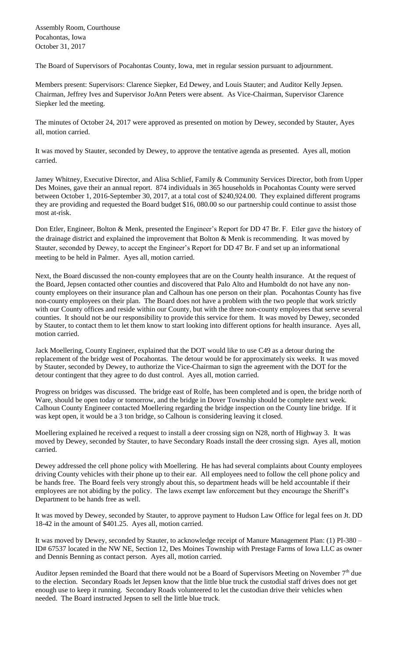Assembly Room, Courthouse Pocahontas, Iowa October 31, 2017

The Board of Supervisors of Pocahontas County, Iowa, met in regular session pursuant to adjournment.

Members present: Supervisors: Clarence Siepker, Ed Dewey, and Louis Stauter; and Auditor Kelly Jepsen. Chairman, Jeffrey Ives and Supervisor JoAnn Peters were absent. As Vice-Chairman, Supervisor Clarence Siepker led the meeting.

The minutes of October 24, 2017 were approved as presented on motion by Dewey, seconded by Stauter, Ayes all, motion carried.

It was moved by Stauter, seconded by Dewey, to approve the tentative agenda as presented. Ayes all, motion carried.

Jamey Whitney, Executive Director, and Alisa Schlief, Family & Community Services Director, both from Upper Des Moines, gave their an annual report. 874 individuals in 365 households in Pocahontas County were served between October 1, 2016-September 30, 2017, at a total cost of \$240,924.00. They explained different programs they are providing and requested the Board budget \$16, 080.00 so our partnership could continue to assist those most at-risk.

Don Etler, Engineer, Bolton & Menk, presented the Engineer's Report for DD 47 Br. F. Etler gave the history of the drainage district and explained the improvement that Bolton & Menk is recommending. It was moved by Stauter, seconded by Dewey, to accept the Engineer's Report for DD 47 Br. F and set up an informational meeting to be held in Palmer. Ayes all, motion carried.

Next, the Board discussed the non-county employees that are on the County health insurance. At the request of the Board, Jepsen contacted other counties and discovered that Palo Alto and Humboldt do not have any noncounty employees on their insurance plan and Calhoun has one person on their plan. Pocahontas County has five non-county employees on their plan. The Board does not have a problem with the two people that work strictly with our County offices and reside within our County, but with the three non-county employees that serve several counties. It should not be our responsibility to provide this service for them. It was moved by Dewey, seconded by Stauter, to contact them to let them know to start looking into different options for health insurance. Ayes all, motion carried.

Jack Moellering, County Engineer, explained that the DOT would like to use C49 as a detour during the replacement of the bridge west of Pocahontas. The detour would be for approximately six weeks. It was moved by Stauter, seconded by Dewey, to authorize the Vice-Chairman to sign the agreement with the DOT for the detour contingent that they agree to do dust control. Ayes all, motion carried.

Progress on bridges was discussed. The bridge east of Rolfe, has been completed and is open, the bridge north of Ware, should be open today or tomorrow, and the bridge in Dover Township should be complete next week. Calhoun County Engineer contacted Moellering regarding the bridge inspection on the County line bridge. If it was kept open, it would be a 3 ton bridge, so Calhoun is considering leaving it closed.

Moellering explained he received a request to install a deer crossing sign on N28, north of Highway 3. It was moved by Dewey, seconded by Stauter, to have Secondary Roads install the deer crossing sign. Ayes all, motion carried.

Dewey addressed the cell phone policy with Moellering. He has had several complaints about County employees driving County vehicles with their phone up to their ear. All employees need to follow the cell phone policy and be hands free. The Board feels very strongly about this, so department heads will be held accountable if their employees are not abiding by the policy. The laws exempt law enforcement but they encourage the Sheriff's Department to be hands free as well.

It was moved by Dewey, seconded by Stauter, to approve payment to Hudson Law Office for legal fees on Jt. DD 18-42 in the amount of \$401.25. Ayes all, motion carried.

It was moved by Dewey, seconded by Stauter, to acknowledge receipt of Manure Management Plan: (1) PI-380 – ID# 67537 located in the NW NE, Section 12, Des Moines Township with Prestage Farms of Iowa LLC as owner and Dennis Benning as contact person. Ayes all, motion carried.

Auditor Jepsen reminded the Board that there would not be a Board of Supervisors Meeting on November  $7<sup>th</sup>$  due to the election. Secondary Roads let Jepsen know that the little blue truck the custodial staff drives does not get enough use to keep it running. Secondary Roads volunteered to let the custodian drive their vehicles when needed. The Board instructed Jepsen to sell the little blue truck.